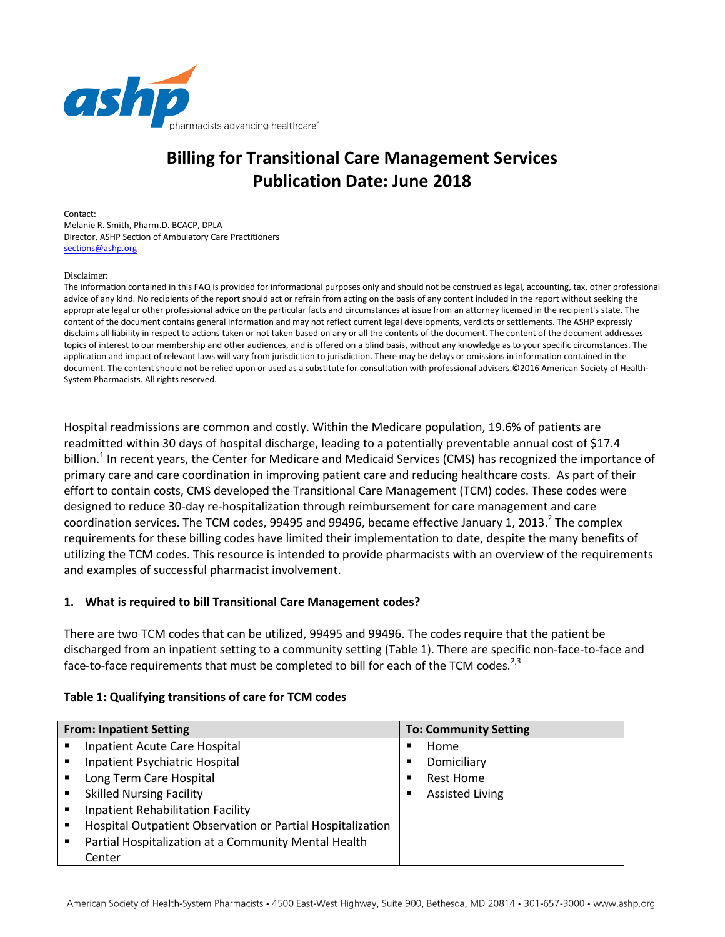

# **Billing for Transitional Care Management Services Publication Date: June 2018**

Contact: Melanie R. Smith, Pharm.D. BCACP, DPLA Director, ASHP Section of Ambulatory Care Practitioners [sections@ashp.org](mailto:sections@ashp.org)

Disclaimer:

The information contained in this FAQ is provided for informational purposes only and should not be construed as legal, accounting, tax, other professional advice of any kind. No recipients of the report should act or refrain from acting on the basis of any content included in the report without seeking the appropriate legal or other professional advice on the particular facts and circumstances at issue from an attorney licensed in the recipient's state. The content of the document contains general information and may not reflect current legal developments, verdicts or settlements. The ASHP expressly disclaims all liability in respect to actions taken or not taken based on any or all the contents of the document. The content of the document addresses topics of interest to our membership and other audiences, and is offered on a blind basis, without any knowledge as to your specific circumstances. The application and impact of relevant laws will vary from jurisdiction to jurisdiction. There may be delays or omissions in information contained in the document. The content should not be relied upon or used as a substitute for consultation with professional advisers.©2016 American Society of Health-System Pharmacists. All rights reserved.

Hospital readmissions are common and costly. Within the Medicare population, 19.6% of patients are readmitted within 30 days of hospital discharge, leading to a potentially preventable annual cost of \$17.4 billion.<sup>1</sup> In recent years, the Center for Medicare and Medicaid Services (CMS) has recognized the importance of primary care and care coordination in improving patient care and reducing healthcare costs. As part of their effort to contain costs, CMS developed the Transitional Care Management (TCM) codes. These codes were designed to reduce 30-day re-hospitalization through reimbursement for care management and care coordination services. The TCM codes, 99495 and 99496, became effective January 1, 2013.<sup>2</sup> The complex requirements for these billing codes have limited their implementation to date, despite the many benefits of utilizing the TCM codes. This resource is intended to provide pharmacists with an overview of the requirements and examples of successful pharmacist involvement.

#### **1. What is required to bill Transitional Care Management codes?**

There are two TCM codes that can be utilized, 99495 and 99496. The codes require that the patient be discharged from an inpatient setting to a community setting (Table 1). There are specific non-face-to-face and face-to-face requirements that must be completed to bill for each of the TCM codes.<sup>2,3</sup>

| Table 1: Qualifying transitions of care for TCM codes |  |  |
|-------------------------------------------------------|--|--|
|-------------------------------------------------------|--|--|

|                | <b>From: Inpatient Setting</b>                             |                | <b>To: Community Setting</b> |
|----------------|------------------------------------------------------------|----------------|------------------------------|
| $\blacksquare$ | Inpatient Acute Care Hospital                              | ٠              | Home                         |
| $\blacksquare$ | Inpatient Psychiatric Hospital                             | ٠              | Domiciliary                  |
| $\blacksquare$ | Long Term Care Hospital                                    | ٠              | <b>Rest Home</b>             |
| $\blacksquare$ | <b>Skilled Nursing Facility</b>                            | $\blacksquare$ | <b>Assisted Living</b>       |
| $\blacksquare$ | Inpatient Rehabilitation Facility                          |                |                              |
| ٠              | Hospital Outpatient Observation or Partial Hospitalization |                |                              |
| $\blacksquare$ | Partial Hospitalization at a Community Mental Health       |                |                              |
|                | Center                                                     |                |                              |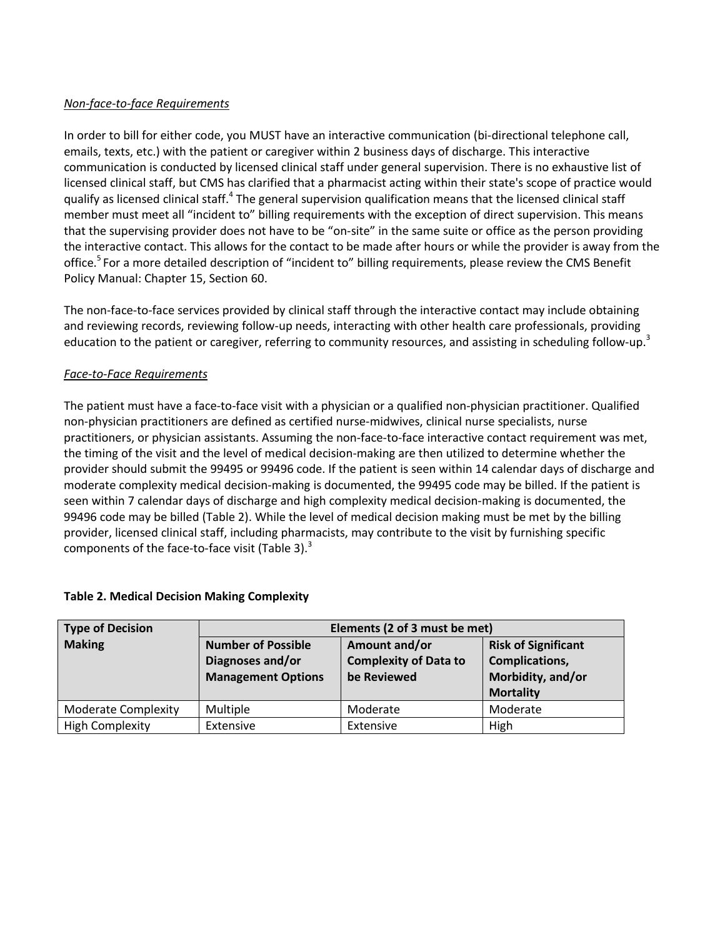## *Non-face-to-face Requirements*

In order to bill for either code, you MUST have an interactive communication (bi-directional telephone call, emails, texts, etc.) with the patient or caregiver within 2 business days of discharge. This interactive communication is conducted by licensed clinical staff under general supervision. There is no exhaustive list of licensed clinical staff, but CMS has clarified that a pharmacist acting within their state's scope of practice would qualify as licensed clinical staff.<sup>4</sup> The general supervision qualification means that the licensed clinical staff member must meet all "incident to" billing requirements with the exception of direct supervision. This means that the supervising provider does not have to be "on-site" in the same suite or office as the person providing the interactive contact. This allows for the contact to be made after hours or while the provider is away from the office.<sup>5</sup> For a more detailed description of "incident to" billing requirements, please review the CMS Benefit Policy Manual: Chapter 15, Section 60.

The non-face-to-face services provided by clinical staff through the interactive contact may include obtaining and reviewing records, reviewing follow-up needs, interacting with other health care professionals, providing education to the patient or caregiver, referring to community resources, and assisting in scheduling follow-up.<sup>3</sup>

## *Face-to-Face Requirements*

The patient must have a face-to-face visit with a physician or a qualified non-physician practitioner. Qualified non-physician practitioners are defined as certified nurse-midwives, clinical nurse specialists, nurse practitioners, or physician assistants. Assuming the non-face-to-face interactive contact requirement was met, the timing of the visit and the level of medical decision-making are then utilized to determine whether the provider should submit the 99495 or 99496 code. If the patient is seen within 14 calendar days of discharge and moderate complexity medical decision-making is documented, the 99495 code may be billed. If the patient is seen within 7 calendar days of discharge and high complexity medical decision-making is documented, the 99496 code may be billed (Table 2). While the level of medical decision making must be met by the billing provider, licensed clinical staff, including pharmacists, may contribute to the visit by furnishing specific components of the face-to-face visit (Table 3). $3$ 

| Type of Decision           | Elements (2 of 3 must be met)                                              |                                                              |                                                                                              |
|----------------------------|----------------------------------------------------------------------------|--------------------------------------------------------------|----------------------------------------------------------------------------------------------|
| <b>Making</b>              | <b>Number of Possible</b><br>Diagnoses and/or<br><b>Management Options</b> | Amount and/or<br><b>Complexity of Data to</b><br>be Reviewed | <b>Risk of Significant</b><br><b>Complications,</b><br>Morbidity, and/or<br><b>Mortality</b> |
| <b>Moderate Complexity</b> | Multiple                                                                   | Moderate                                                     | Moderate                                                                                     |
| <b>High Complexity</b>     | Extensive                                                                  | Extensive                                                    | High                                                                                         |

#### **Table 2. Medical Decision Making Complexity**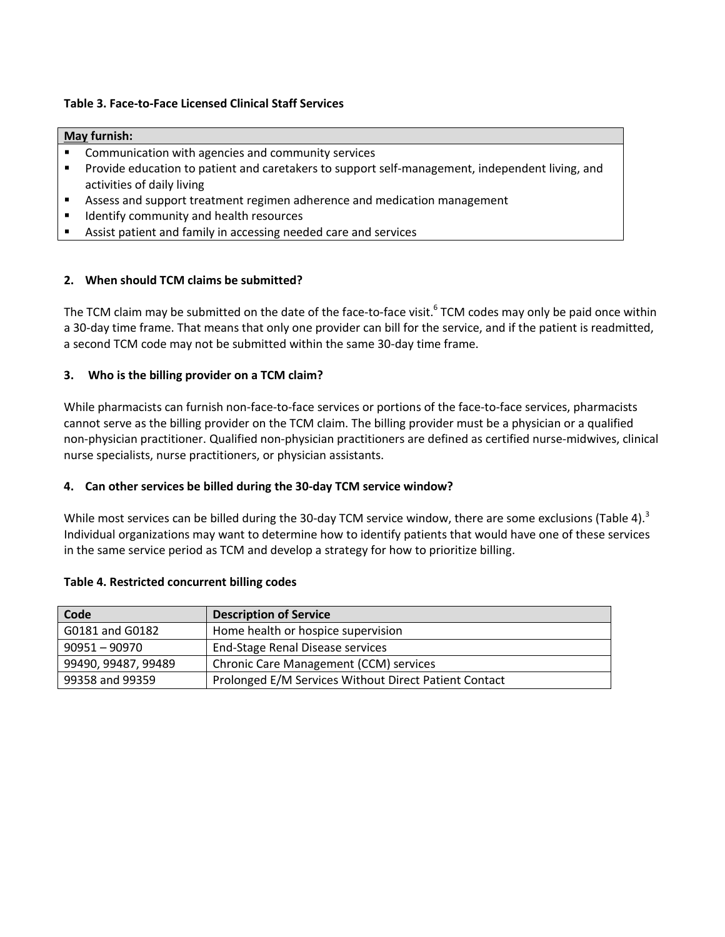#### **Table 3. Face-to-Face Licensed Clinical Staff Services**

#### **May furnish:**

- Communication with agencies and community services
- Provide education to patient and caretakers to support self-management, independent living, and activities of daily living
- Assess and support treatment regimen adherence and medication management
- Identify community and health resources
- Assist patient and family in accessing needed care and services

#### **2. When should TCM claims be submitted?**

The TCM claim may be submitted on the date of the face-to-face visit.<sup>6</sup> TCM codes may only be paid once within a 30-day time frame. That means that only one provider can bill for the service, and if the patient is readmitted, a second TCM code may not be submitted within the same 30-day time frame.

#### **3. Who is the billing provider on a TCM claim?**

While pharmacists can furnish non-face-to-face services or portions of the face-to-face services, pharmacists cannot serve as the billing provider on the TCM claim. The billing provider must be a physician or a qualified non-physician practitioner. Qualified non-physician practitioners are defined as certified nurse-midwives, clinical nurse specialists, nurse practitioners, or physician assistants.

#### **4. Can other services be billed during the 30-day TCM service window?**

While most services can be billed during the 30-day TCM service window, there are some exclusions (Table 4).<sup>3</sup> Individual organizations may want to determine how to identify patients that would have one of these services in the same service period as TCM and develop a strategy for how to prioritize billing.

#### **Table 4. Restricted concurrent billing codes**

| Code                | <b>Description of Service</b>                         |
|---------------------|-------------------------------------------------------|
| G0181 and G0182     | Home health or hospice supervision                    |
| $90951 - 90970$     | End-Stage Renal Disease services                      |
| 99490, 99487, 99489 | Chronic Care Management (CCM) services                |
| 99358 and 99359     | Prolonged E/M Services Without Direct Patient Contact |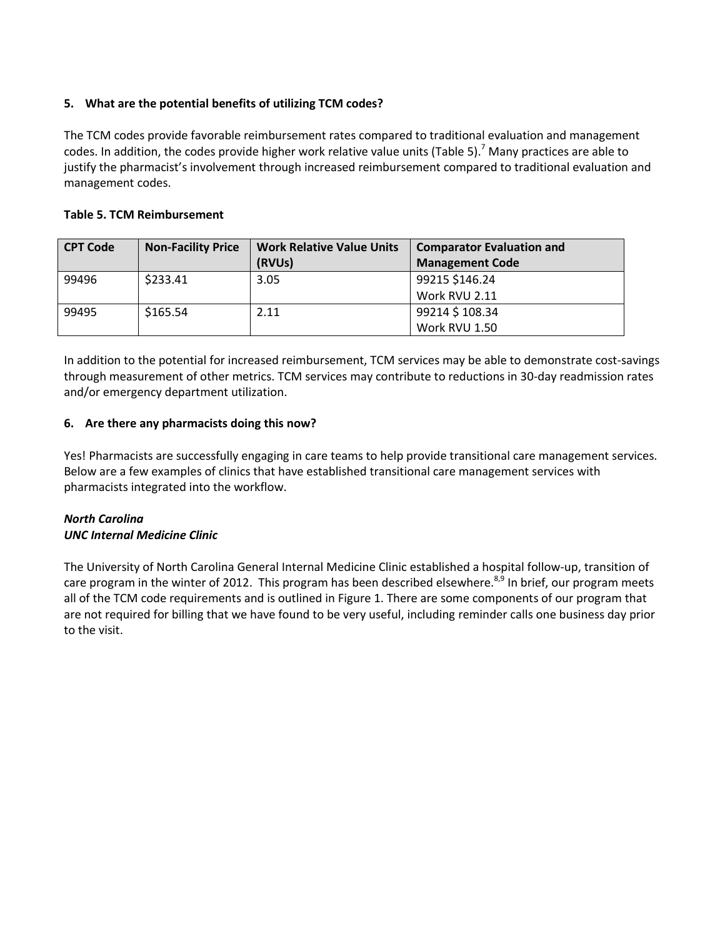# **5. What are the potential benefits of utilizing TCM codes?**

The TCM codes provide favorable reimbursement rates compared to traditional evaluation and management codes. In addition, the codes provide higher work relative value units (Table 5).<sup>7</sup> Many practices are able to justify the pharmacist's involvement through increased reimbursement compared to traditional evaluation and management codes.

# **Table 5. TCM Reimbursement**

| <b>CPT Code</b> | <b>Non-Facility Price</b> | <b>Work Relative Value Units</b> | <b>Comparator Evaluation and</b> |
|-----------------|---------------------------|----------------------------------|----------------------------------|
|                 |                           | (RVUs)                           | <b>Management Code</b>           |
| 99496           | \$233.41                  | 3.05                             | 99215 \$146.24                   |
|                 |                           |                                  | Work RVU 2.11                    |
| 99495           | \$165.54                  | 2.11                             | 99214 \$108.34                   |
|                 |                           |                                  | Work RVU 1.50                    |

In addition to the potential for increased reimbursement, TCM services may be able to demonstrate cost-savings through measurement of other metrics. TCM services may contribute to reductions in 30-day readmission rates and/or emergency department utilization.

## **6. Are there any pharmacists doing this now?**

Yes! Pharmacists are successfully engaging in care teams to help provide transitional care management services. Below are a few examples of clinics that have established transitional care management services with pharmacists integrated into the workflow.

## *North Carolina UNC Internal Medicine Clinic*

The University of North Carolina General Internal Medicine Clinic established a hospital follow-up, transition of care program in the winter of 2012. This program has been described elsewhere. $8,9$  In brief, our program meets all of the TCM code requirements and is outlined in Figure 1. There are some components of our program that are not required for billing that we have found to be very useful, including reminder calls one business day prior to the visit.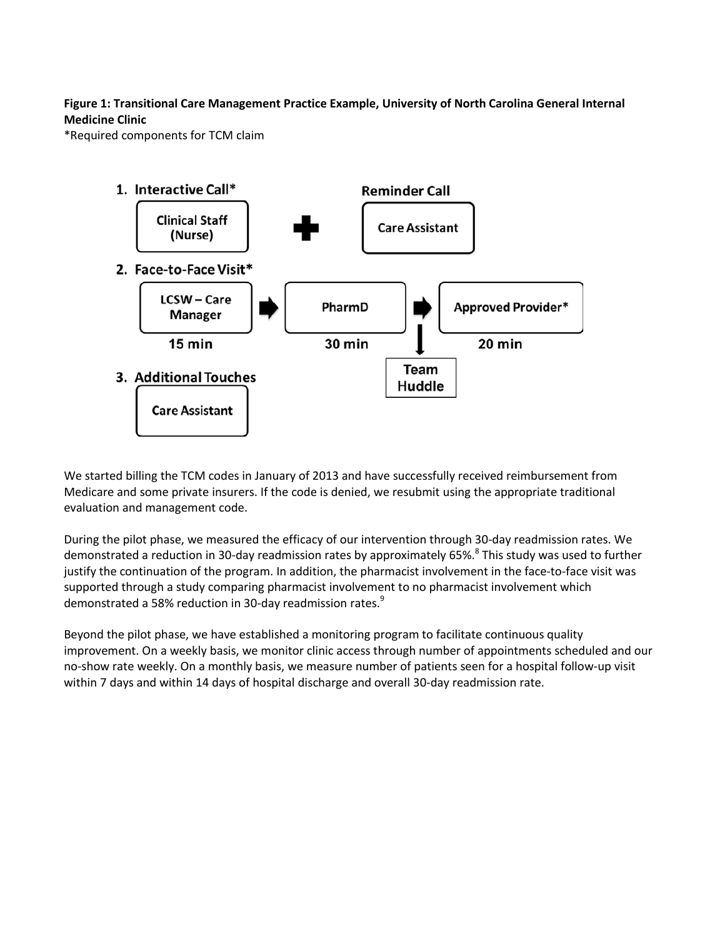# **Figure 1: Transitional Care Management Practice Example, University of North Carolina General Internal Medicine Clinic**

\*Required components for TCM claim



We started billing the TCM codes in January of 2013 and have successfully received reimbursement from Medicare and some private insurers. If the code is denied, we resubmit using the appropriate traditional evaluation and management code.

During the pilot phase, we measured the efficacy of our intervention through 30-day readmission rates. We demonstrated a reduction in 30-day readmission rates by approximately 65%.<sup>8</sup> This study was used to further justify the continuation of the program. In addition, the pharmacist involvement in the face-to-face visit was supported through a study comparing pharmacist involvement to no pharmacist involvement which demonstrated a 58% reduction in 30-day readmission rates.<sup>9</sup>

Beyond the pilot phase, we have established a monitoring program to facilitate continuous quality improvement. On a weekly basis, we monitor clinic access through number of appointments scheduled and our no-show rate weekly. On a monthly basis, we measure number of patients seen for a hospital follow-up visit within 7 days and within 14 days of hospital discharge and overall 30-day readmission rate.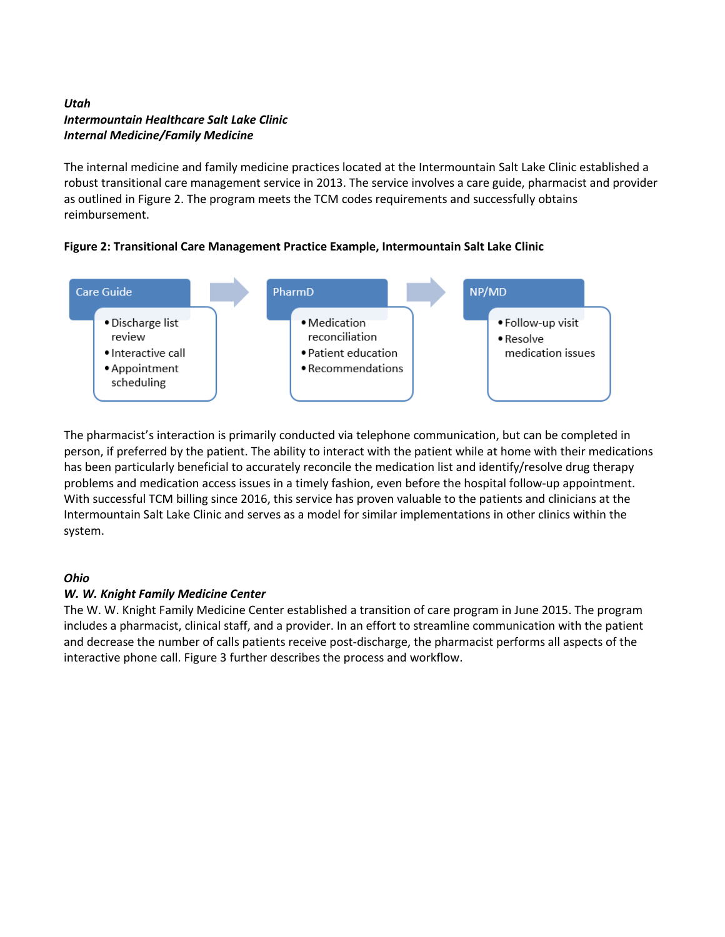# *Utah Intermountain Healthcare Salt Lake Clinic Internal Medicine/Family Medicine*

The internal medicine and family medicine practices located at the Intermountain Salt Lake Clinic established a robust transitional care management service in 2013. The service involves a care guide, pharmacist and provider as outlined in Figure 2. The program meets the TCM codes requirements and successfully obtains reimbursement.





The pharmacist's interaction is primarily conducted via telephone communication, but can be completed in person, if preferred by the patient. The ability to interact with the patient while at home with their medications has been particularly beneficial to accurately reconcile the medication list and identify/resolve drug therapy problems and medication access issues in a timely fashion, even before the hospital follow-up appointment. With successful TCM billing since 2016, this service has proven valuable to the patients and clinicians at the Intermountain Salt Lake Clinic and serves as a model for similar implementations in other clinics within the system.

# *Ohio*

# *W. W. Knight Family Medicine Center*

The W. W. Knight Family Medicine Center established a transition of care program in June 2015. The program includes a pharmacist, clinical staff, and a provider. In an effort to streamline communication with the patient and decrease the number of calls patients receive post-discharge, the pharmacist performs all aspects of the interactive phone call. Figure 3 further describes the process and workflow.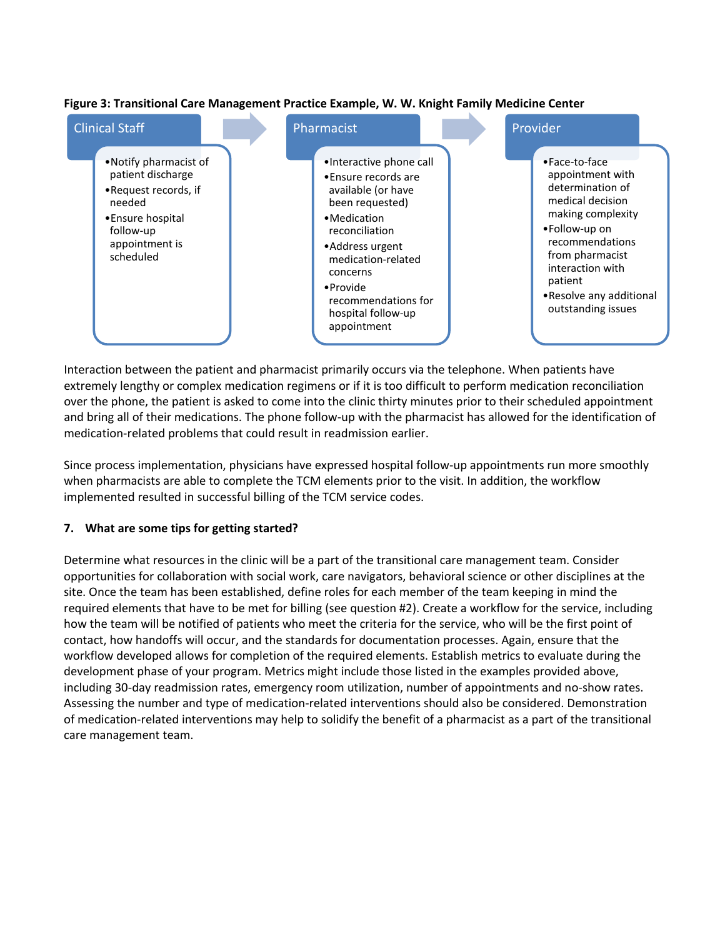

#### **Figure 3: Transitional Care Management Practice Example, W. W. Knight Family Medicine Center**

Interaction between the patient and pharmacist primarily occurs via the telephone. When patients have extremely lengthy or complex medication regimens or if it is too difficult to perform medication reconciliation over the phone, the patient is asked to come into the clinic thirty minutes prior to their scheduled appointment and bring all of their medications. The phone follow-up with the pharmacist has allowed for the identification of medication-related problems that could result in readmission earlier.

Since process implementation, physicians have expressed hospital follow-up appointments run more smoothly when pharmacists are able to complete the TCM elements prior to the visit. In addition, the workflow implemented resulted in successful billing of the TCM service codes.

# **7. What are some tips for getting started?**

Determine what resources in the clinic will be a part of the transitional care management team. Consider opportunities for collaboration with social work, care navigators, behavioral science or other disciplines at the site. Once the team has been established, define roles for each member of the team keeping in mind the required elements that have to be met for billing (see question #2). Create a workflow for the service, including how the team will be notified of patients who meet the criteria for the service, who will be the first point of contact, how handoffs will occur, and the standards for documentation processes. Again, ensure that the workflow developed allows for completion of the required elements. Establish metrics to evaluate during the development phase of your program. Metrics might include those listed in the examples provided above, including 30-day readmission rates, emergency room utilization, number of appointments and no-show rates. Assessing the number and type of medication-related interventions should also be considered. Demonstration of medication-related interventions may help to solidify the benefit of a pharmacist as a part of the transitional care management team.